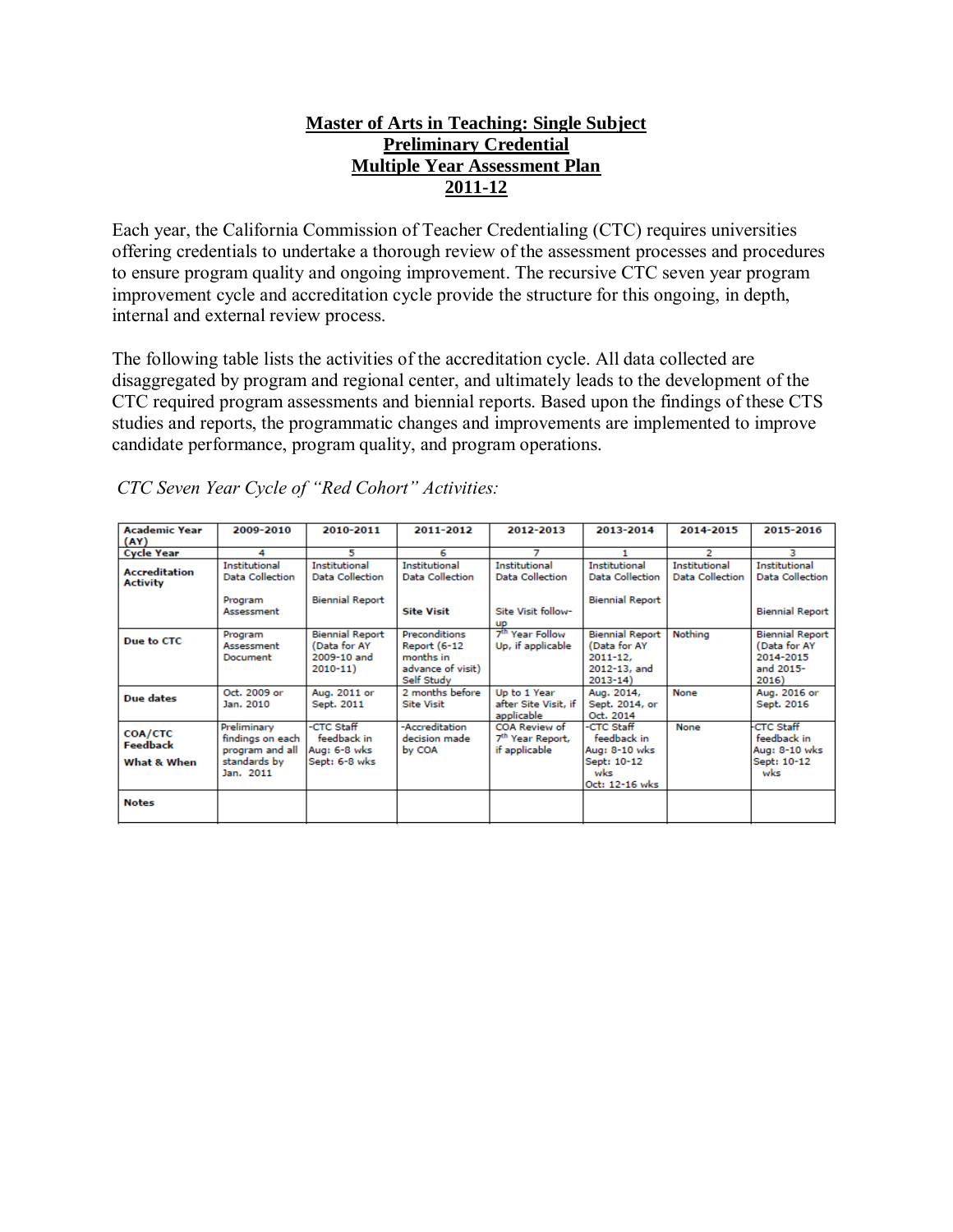### **Master of Arts in Teaching: Single Subject Preliminary Credential Multiple Year Assessment Plan 2011-12**

Each year, the California Commission of Teacher Credentialing (CTC) requires universities offering credentials to undertake a thorough review of the assessment processes and procedures to ensure program quality and ongoing improvement. The recursive CTC seven year program improvement cycle and accreditation cycle provide the structure for this ongoing, in depth, internal and external review process.

The following table lists the activities of the accreditation cycle. All data collected are disaggregated by program and regional center, and ultimately leads to the development of the CTC required program assessments and biennial reports. Based upon the findings of these CTS studies and reports, the programmatic changes and improvements are implemented to improve candidate performance, program quality, and program operations.

| <b>Academic Year</b><br>(AY)              | 2009-2010                                                                       | 2010-2011                                                            | 2011-2012                                                                     | 2012-2013                                                      | 2013-2014                                                                             | 2014-2015                                      | 2015-2016                                                                 |
|-------------------------------------------|---------------------------------------------------------------------------------|----------------------------------------------------------------------|-------------------------------------------------------------------------------|----------------------------------------------------------------|---------------------------------------------------------------------------------------|------------------------------------------------|---------------------------------------------------------------------------|
| <b>Cycle Year</b>                         | 4                                                                               | 5                                                                    | 6                                                                             | 7                                                              |                                                                                       | 2                                              | з                                                                         |
| <b>Accreditation</b><br><b>Activity</b>   | Institutional<br><b>Data Collection</b>                                         | <b>Institutional</b><br><b>Data Collection</b>                       | Institutional<br><b>Data Collection</b>                                       | Institutional<br><b>Data Collection</b>                        | Institutional<br><b>Data Collection</b>                                               | <b>Institutional</b><br><b>Data Collection</b> | Institutional<br><b>Data Collection</b>                                   |
|                                           | Program<br>Assessment                                                           | <b>Biennial Report</b>                                               | <b>Site Visit</b>                                                             | Site Visit follow-<br>up                                       | <b>Biennial Report</b>                                                                |                                                | <b>Biennial Report</b>                                                    |
| Due to CTC                                | Program<br>Assessment<br>Document                                               | <b>Biennial Report</b><br>(Data for AY<br>2009-10 and<br>$2010 - 11$ | Preconditions<br>Report (6-12<br>months in<br>advance of visit)<br>Self Study | 7 <sup>th</sup> Year Follow<br>Up, if applicable               | <b>Biennial Report</b><br>(Data for AY<br>$2011 - 12.$<br>2012-13, and<br>$2013 - 14$ | Nothing                                        | <b>Biennial Report</b><br>(Data for AY<br>2014-2015<br>and 2015-<br>2016) |
| <b>Due dates</b>                          | Oct. 2009 or<br>Jan. 2010                                                       | Aug. 2011 or<br>Sept. 2011                                           | 2 months before<br><b>Site Visit</b>                                          | Up to 1 Year<br>after Site Visit, if<br>applicable             | Aug. 2014,<br>Sept. 2014, or<br>Oct. 2014                                             | None                                           | Aug. 2016 or<br>Sept. 2016                                                |
| <b>COA/CTC</b><br>Feedback<br>What & When | Preliminary<br>findings on each<br>program and all<br>standards by<br>Jan. 2011 | -CTC Staff<br>feedback in<br>Aug: 6-8 wks<br>Sept: 6-8 wks           | -Accreditation<br>decision made<br>by COA                                     | COA Review of<br>7 <sup>th</sup> Year Report,<br>if applicable | -CTC Staff<br>feedback in<br>Aug: 8-10 wks<br>Sept: 10-12<br>wks<br>Oct: 12-16 wks    | None                                           | CTC Staff<br>feedback in<br>Aug: 8-10 wks<br>Sept: 10-12<br>wks           |
| <b>Notes</b>                              |                                                                                 |                                                                      |                                                                               |                                                                |                                                                                       |                                                |                                                                           |

*CTC Seven Year Cycle of "Red Cohort" Activities:*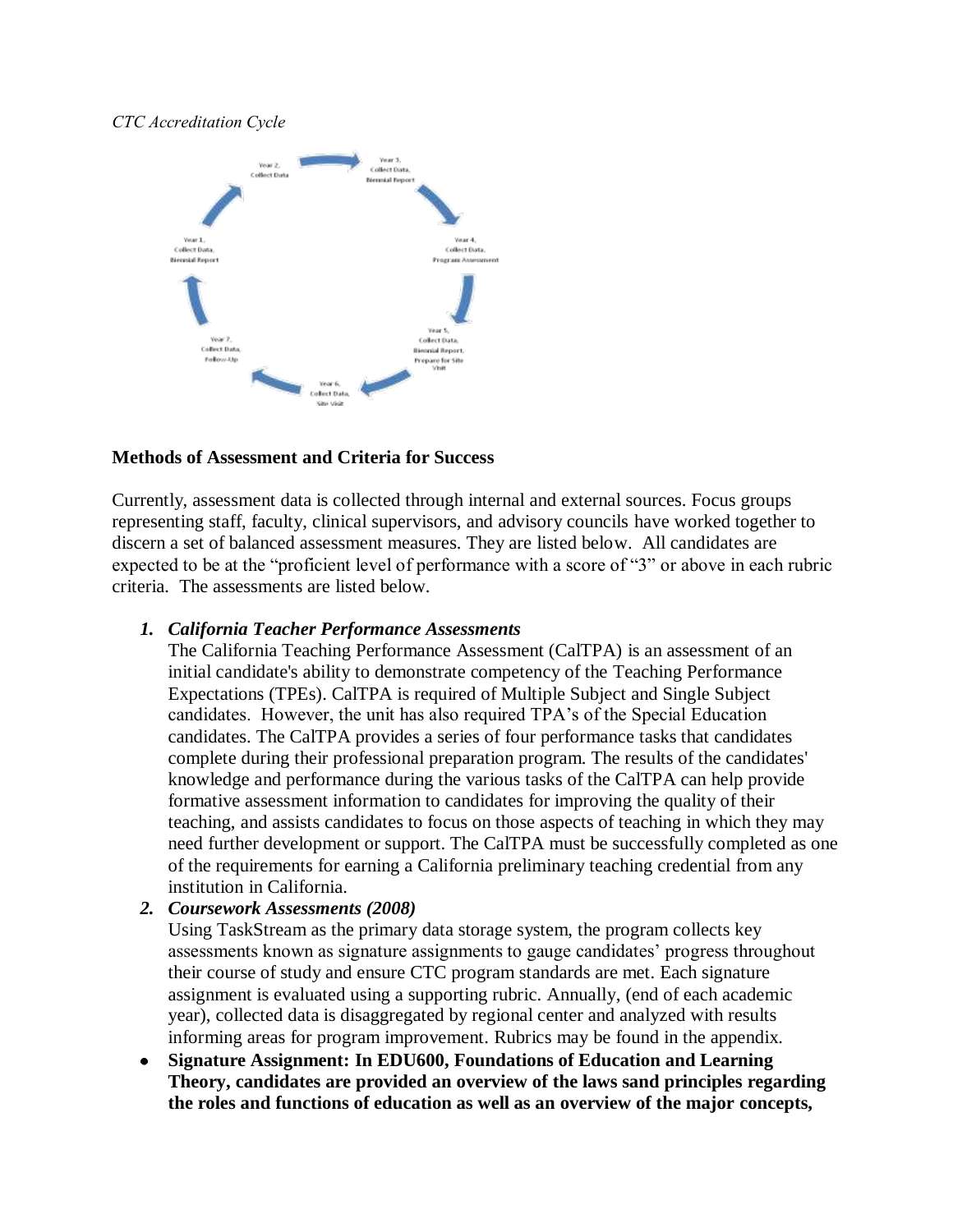### *CTC Accreditation Cycle*



### **Methods of Assessment and Criteria for Success**

Currently, assessment data is collected through internal and external sources. Focus groups representing staff, faculty, clinical supervisors, and advisory councils have worked together to discern a set of balanced assessment measures. They are listed below. All candidates are expected to be at the "proficient level of performance with a score of "3" or above in each rubric criteria. The assessments are listed below.

#### *1. California Teacher Performance Assessments*

The [California Teaching Performance Assessment \(CalTPA\)](https://portal.pointloma.edu/web/education/home/-/wiki/Main/Glossary) is an [assessment](https://portal.pointloma.edu/web/education/home/-/wiki/Main/Glossary) of an initial candidate's ability to demonstrate competency of the [Teaching Performance](https://portal.pointloma.edu/web/education/home/-/wiki/Main/TPES)  [Expectations \(TPEs\).](https://portal.pointloma.edu/web/education/home/-/wiki/Main/TPES) CalTPA is required of Multiple Subject and Single Subject candidates. However, the unit has also required TPA's of the Special Education candidates. The CalTPA provides a series of four performance tasks that candidates complete during their professional preparation program. The results of the candidates' knowledge and performance during the various tasks of the CalTPA can help provide formative assessment information to candidates for improving the quality of their teaching, and assists candidates to focus on those aspects of teaching in which they may need further development or support. The CalTPA must be successfully completed as one of the requirements for earning a California preliminary teaching credential from any institution in California.

### *2. Coursework Assessments (2008)*

Using TaskStream as the primary data storage system, the program collects key assessments known as signature assignments to gauge candidates' progress throughout their course of study and ensure CTC program standards are met. Each signature assignment is evaluated using a supporting rubric. Annually, (end of each academic year), collected data is disaggregated by regional center and analyzed with results informing areas for program improvement. Rubrics may be found in the appendix.

**Signature Assignment: In EDU600, Foundations of Education and Learning**   $\bullet$ **Theory, candidates are provided an overview of the laws sand principles regarding the roles and functions of education as well as an overview of the major concepts,**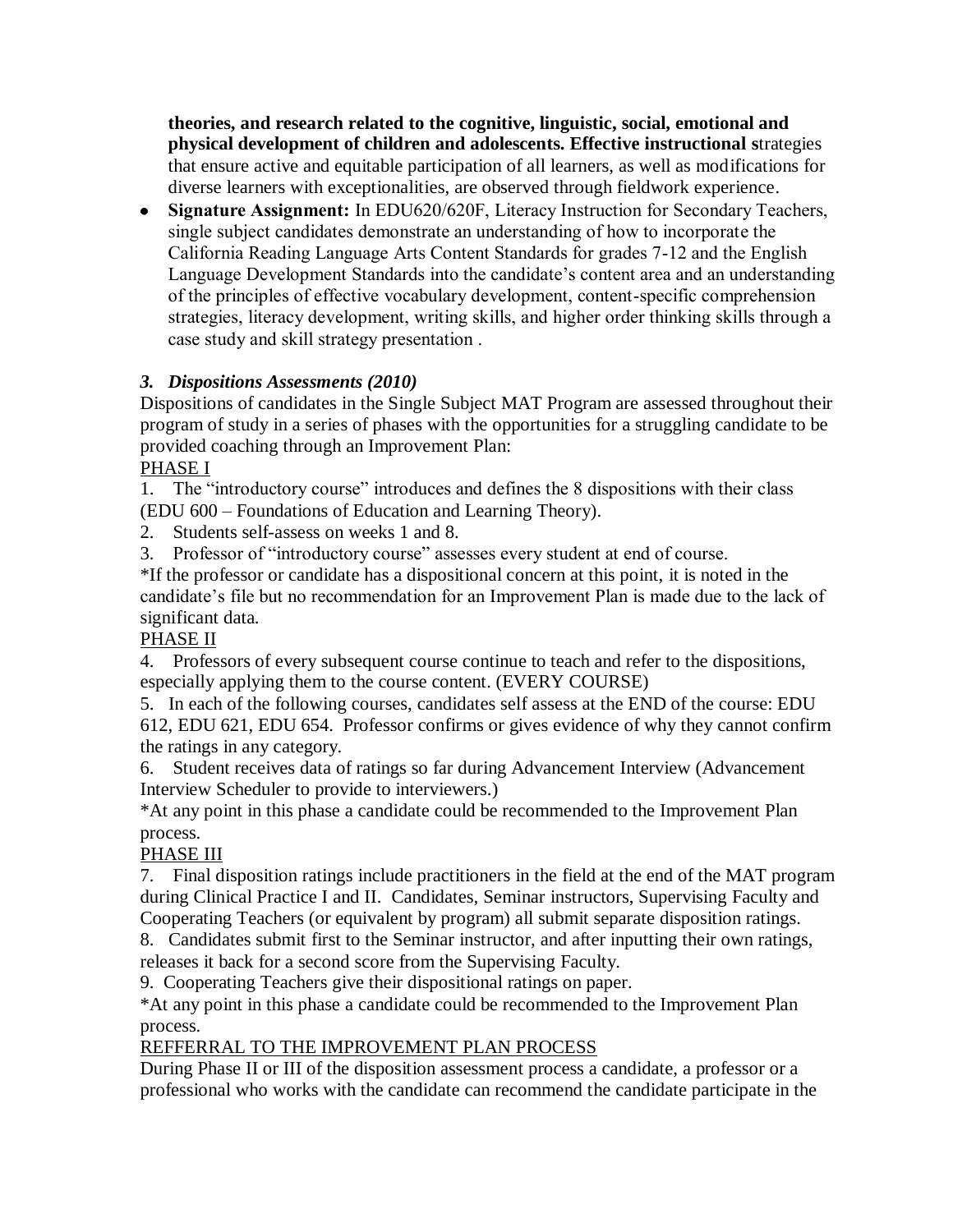**theories, and research related to the cognitive, linguistic, social, emotional and physical development of children and adolescents. Effective instructional s**trategies that ensure active and equitable participation of all learners, as well as modifications for diverse learners with exceptionalities, are observed through fieldwork experience.

**Signature Assignment:** In EDU620/620F, Literacy Instruction for Secondary Teachers, single subject candidates demonstrate an understanding of how to incorporate the California Reading Language Arts Content Standards for grades 7-12 and the English Language Development Standards into the candidate's content area and an understanding of the principles of effective vocabulary development, content-specific comprehension strategies, literacy development, writing skills, and higher order thinking skills through a case study and skill strategy presentation .

### *3. Dispositions Assessments (2010)*

Dispositions of candidates in the Single Subject MAT Program are assessed throughout their program of study in a series of phases with the opportunities for a struggling candidate to be provided coaching through an Improvement Plan:

PHASE I

1. The "introductory course" introduces and defines the 8 dispositions with their class (EDU 600 – Foundations of Education and Learning Theory).

2. Students self-assess on weeks 1 and 8.

3. Professor of "introductory course" assesses every student at end of course.

\*If the professor or candidate has a dispositional concern at this point, it is noted in the candidate's file but no recommendation for an Improvement Plan is made due to the lack of significant data.

# PHASE II

4. Professors of every subsequent course continue to teach and refer to the dispositions, especially applying them to the course content. (EVERY COURSE)

5. In each of the following courses, candidates self assess at the END of the course: EDU 612, EDU 621, EDU 654. Professor confirms or gives evidence of why they cannot confirm the ratings in any category.

6. Student receives data of ratings so far during Advancement Interview (Advancement Interview Scheduler to provide to interviewers.)

\*At any point in this phase a candidate could be recommended to the Improvement Plan process.

# PHASE III

7. Final disposition ratings include practitioners in the field at the end of the MAT program during Clinical Practice I and II. Candidates, Seminar instructors, Supervising Faculty and Cooperating Teachers (or equivalent by program) all submit separate disposition ratings.

8. Candidates submit first to the Seminar instructor, and after inputting their own ratings, releases it back for a second score from the Supervising Faculty.

9. Cooperating Teachers give their dispositional ratings on paper.

\*At any point in this phase a candidate could be recommended to the Improvement Plan process.

# REFFERRAL TO THE IMPROVEMENT PLAN PROCESS

During Phase II or III of the disposition assessment process a candidate, a professor or a professional who works with the candidate can recommend the candidate participate in the